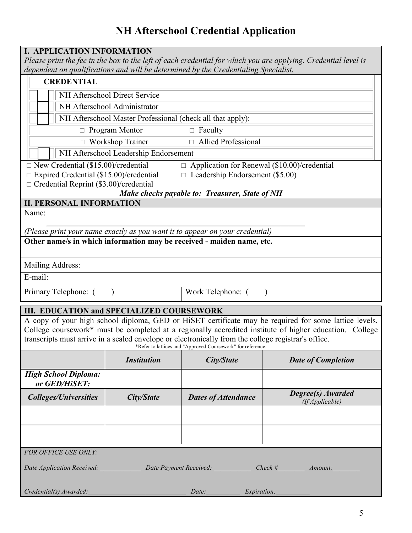# **NH Afterschool Credential Application**

| <b>I. APPLICATION INFORMATION</b><br>Please print the fee in the box to the left of each credential for which you are applying. Credential level is<br>dependent on qualifications and will be determined by the Credentialing Specialist.                                                                                                                                            |                    |                            |                                      |
|---------------------------------------------------------------------------------------------------------------------------------------------------------------------------------------------------------------------------------------------------------------------------------------------------------------------------------------------------------------------------------------|--------------------|----------------------------|--------------------------------------|
| <b>CREDENTIAL</b>                                                                                                                                                                                                                                                                                                                                                                     |                    |                            |                                      |
| NH Afterschool Direct Service                                                                                                                                                                                                                                                                                                                                                         |                    |                            |                                      |
| NH Afterschool Administrator                                                                                                                                                                                                                                                                                                                                                          |                    |                            |                                      |
| NH Afterschool Master Professional (check all that apply):                                                                                                                                                                                                                                                                                                                            |                    |                            |                                      |
| $\Box$ Program Mentor<br>$\Box$ Faculty                                                                                                                                                                                                                                                                                                                                               |                    |                            |                                      |
| □ Allied Professional<br>$\Box$ Workshop Trainer                                                                                                                                                                                                                                                                                                                                      |                    |                            |                                      |
| NH Afterschool Leadership Endorsement                                                                                                                                                                                                                                                                                                                                                 |                    |                            |                                      |
| $\Box$ New Credential (\$15.00)/credential<br>$\Box$ Application for Renewal (\$10.00)/credential                                                                                                                                                                                                                                                                                     |                    |                            |                                      |
| $\Box$ Expired Credential (\$15.00)/credential<br>$\Box$ Leadership Endorsement (\$5.00)                                                                                                                                                                                                                                                                                              |                    |                            |                                      |
| $\Box$ Credential Reprint (\$3.00)/credential<br>Make checks payable to: Treasurer, State of NH                                                                                                                                                                                                                                                                                       |                    |                            |                                      |
| <b>II. PERSONAL INFORMATION</b>                                                                                                                                                                                                                                                                                                                                                       |                    |                            |                                      |
| Name:                                                                                                                                                                                                                                                                                                                                                                                 |                    |                            |                                      |
| (Please print your name exactly as you want it to appear on your credential)                                                                                                                                                                                                                                                                                                          |                    |                            |                                      |
| Other name/s in which information may be received - maiden name, etc.                                                                                                                                                                                                                                                                                                                 |                    |                            |                                      |
|                                                                                                                                                                                                                                                                                                                                                                                       |                    |                            |                                      |
| Mailing Address:                                                                                                                                                                                                                                                                                                                                                                      |                    |                            |                                      |
| E-mail:                                                                                                                                                                                                                                                                                                                                                                               |                    |                            |                                      |
| Primary Telephone: (                                                                                                                                                                                                                                                                                                                                                                  |                    | Work Telephone: (          |                                      |
| <b>III. EDUCATION and SPECIALIZED COURSEWORK</b>                                                                                                                                                                                                                                                                                                                                      |                    |                            |                                      |
| A copy of your high school diploma, GED or HiSET certificate may be required for some lattice levels.<br>College coursework* must be completed at a regionally accredited institute of higher education. College<br>transcripts must arrive in a sealed envelope or electronically from the college registrar's office.<br>*Refer to lattices and "Approved Coursework" for reference |                    |                            |                                      |
|                                                                                                                                                                                                                                                                                                                                                                                       | <b>Institution</b> | City/State                 | <b>Date of Completion</b>            |
| <b>High School Diploma:</b><br>or GED/HiSET:                                                                                                                                                                                                                                                                                                                                          |                    |                            |                                      |
| <b>Colleges/Universities</b>                                                                                                                                                                                                                                                                                                                                                          | City/State         | <b>Dates of Attendance</b> | Degree(s) Awarded<br>(If Applicable) |
|                                                                                                                                                                                                                                                                                                                                                                                       |                    |                            |                                      |
|                                                                                                                                                                                                                                                                                                                                                                                       |                    |                            |                                      |
|                                                                                                                                                                                                                                                                                                                                                                                       |                    |                            |                                      |
| FOR OFFICE USE ONLY:                                                                                                                                                                                                                                                                                                                                                                  |                    |                            |                                      |
| Date Application Received: Date Payment Received: Check # Amount:                                                                                                                                                                                                                                                                                                                     |                    |                            |                                      |
| Credential(s) Awarded:<br>Date:<br>Expiration:                                                                                                                                                                                                                                                                                                                                        |                    |                            |                                      |